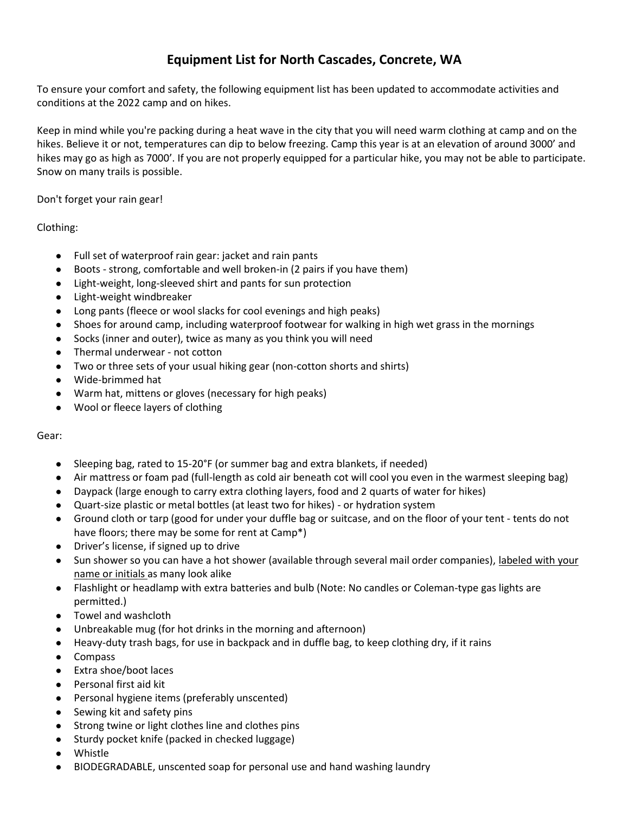## **Equipment List for North Cascades, Concrete, WA**

To ensure your comfort and safety, the following equipment list has been updated to accommodate activities and conditions at the 2022 camp and on hikes.

Keep in mind while you're packing during a heat wave in the city that you will need warm clothing at camp and on the hikes. Believe it or not, temperatures can dip to below freezing. Camp this year is at an elevation of around 3000' and hikes may go as high as 7000'. If you are not properly equipped for a particular hike, you may not be able to participate. Snow on many trails is possible.

Don't forget your rain gear!

Clothing:

- Full set of waterproof rain gear: jacket and rain pants
- Boots strong, comfortable and well broken-in (2 pairs if you have them)
- Light-weight, long-sleeved shirt and pants for sun protection
- Light-weight windbreaker
- Long pants (fleece or wool slacks for cool evenings and high peaks)
- Shoes for around camp, including waterproof footwear for walking in high wet grass in the mornings
- Socks (inner and outer), twice as many as you think you will need
- Thermal underwear not cotton
- Two or three sets of your usual hiking gear (non-cotton shorts and shirts)
- Wide-brimmed hat
- Warm hat, mittens or gloves (necessary for high peaks)
- Wool or fleece layers of clothing

Gear:

- Sleeping bag, rated to 15-20°F (or summer bag and extra blankets, if needed)
- Air mattress or foam pad (full-length as cold air beneath cot will cool you even in the warmest sleeping bag)
- Daypack (large enough to carry extra clothing layers, food and 2 quarts of water for hikes)
- Quart-size plastic or metal bottles (at least two for hikes) or hydration system
- Ground cloth or tarp (good for under your duffle bag or suitcase, and on the floor of your tent tents do not have floors; there may be some for rent at Camp\*)
- Driver's license, if signed up to drive
- Sun shower so you can have a hot shower (available through several mail order companies), labeled with your name or initials as many look alike
- Flashlight or headlamp with extra batteries and bulb (Note: No candles or Coleman-type gas lights are permitted.)
- Towel and washcloth
- Unbreakable mug (for hot drinks in the morning and afternoon)
- Heavy-duty trash bags, for use in backpack and in duffle bag, to keep clothing dry, if it rains
- Compass
- Extra shoe/boot laces
- Personal first aid kit
- Personal hygiene items (preferably unscented)
- Sewing kit and safety pins
- Strong twine or light clothes line and clothes pins
- Sturdy pocket knife (packed in checked luggage)
- **Whistle**
- BIODEGRADABLE, unscented soap for personal use and hand washing laundry